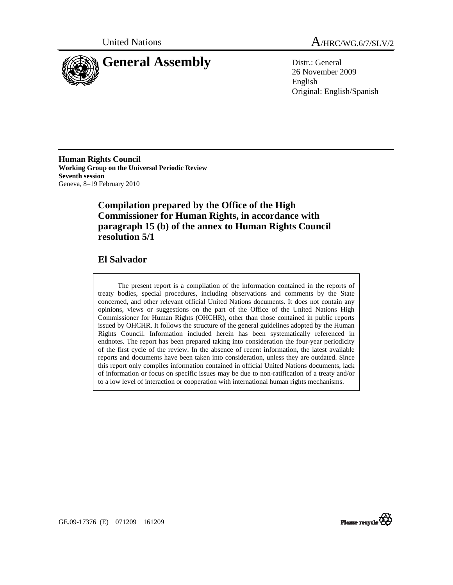



26 November 2009 English Original: English/Spanish

**Human Rights Council Working Group on the Universal Periodic Review Seventh session**  Geneva, 8–19 February 2010

> **Compilation prepared by the Office of the High Commissioner for Human Rights, in accordance with paragraph 15 (b) of the annex to Human Rights Council resolution 5/1**

# **El Salvador**

 The present report is a compilation of the information contained in the reports of treaty bodies, special procedures, including observations and comments by the State concerned, and other relevant official United Nations documents. It does not contain any opinions, views or suggestions on the part of the Office of the United Nations High Commissioner for Human Rights (OHCHR), other than those contained in public reports issued by OHCHR. It follows the structure of the general guidelines adopted by the Human Rights Council. Information included herein has been systematically referenced in endnotes. The report has been prepared taking into consideration the four-year periodicity of the first cycle of the review. In the absence of recent information, the latest available reports and documents have been taken into consideration, unless they are outdated. Since this report only compiles information contained in official United Nations documents, lack of information or focus on specific issues may be due to non-ratification of a treaty and/or to a low level of interaction or cooperation with international human rights mechanisms.



GE.09-17376 (E) 071209 161209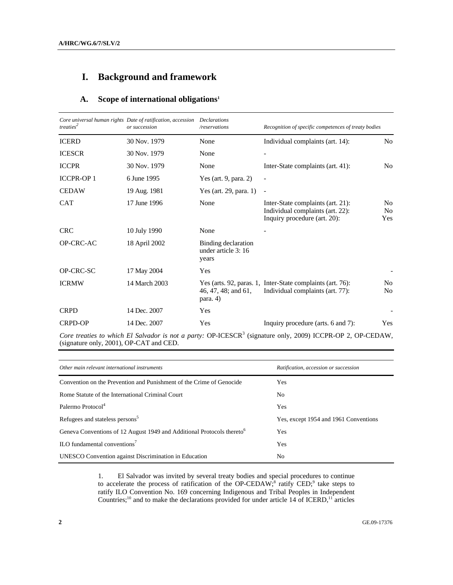# **I. Background and framework**

# **A. Scope of international obligations1**

| treaties <sup>2</sup> | Core universal human rights Date of ratification, accession Declarations<br>or succession | /reservations                                                           | Recognition of specific competences of treaty bodies                                                  |                                         |
|-----------------------|-------------------------------------------------------------------------------------------|-------------------------------------------------------------------------|-------------------------------------------------------------------------------------------------------|-----------------------------------------|
| <b>ICERD</b>          | 30 Nov. 1979                                                                              | None                                                                    | Individual complaints (art. 14):                                                                      | No.                                     |
| <b>ICESCR</b>         | 30 Nov. 1979                                                                              | None                                                                    |                                                                                                       |                                         |
| <b>ICCPR</b>          | 30 Nov. 1979                                                                              | None                                                                    | Inter-State complaints (art. 41):                                                                     | N <sub>o</sub>                          |
| <b>ICCPR-OP1</b>      | 6 June 1995                                                                               | Yes (art. $9$ , para. 2)                                                |                                                                                                       |                                         |
| <b>CEDAW</b>          | 19 Aug. 1981                                                                              | Yes (art. 29, para. 1)                                                  | $\overline{\phantom{a}}$                                                                              |                                         |
| <b>CAT</b>            | 17 June 1996                                                                              | None                                                                    | Inter-State complaints (art. 21):<br>Individual complaints (art. 22):<br>Inquiry procedure (art. 20): | N <sub>0</sub><br>N <sub>0</sub><br>Yes |
| <b>CRC</b>            | 10 July 1990                                                                              | None                                                                    |                                                                                                       |                                         |
| OP-CRC-AC             | 18 April 2002                                                                             | Binding declaration<br>under article 3:16<br>years                      |                                                                                                       |                                         |
| OP-CRC-SC             | 17 May 2004                                                                               | Yes                                                                     |                                                                                                       |                                         |
| <b>ICRMW</b>          | 14 March 2003                                                                             | Yes (arts. $92$ , paras. 1,<br>$46, 47, 48$ ; and $61$ ,<br>para. $4$ ) | Inter-State complaints (art. 76):<br>Individual complaints (art. 77):                                 | N <sub>0</sub><br>N <sub>0</sub>        |
| <b>CRPD</b>           | 14 Dec. 2007                                                                              | Yes                                                                     |                                                                                                       |                                         |
| <b>CRPD-OP</b>        | 14 Dec. 2007                                                                              | Yes                                                                     | Inquiry procedure (arts. 6 and 7):                                                                    | Yes                                     |

Core treaties to which El Salvador is not a party: OP-ICESCR<sup>3</sup> (signature only, 2009) ICCPR-OP 2, OP-CEDAW, (signature only, 2001), OP-CAT and CED.

| Other main relevant international instruments                                      | Ratification, accession or succession |
|------------------------------------------------------------------------------------|---------------------------------------|
| Convention on the Prevention and Punishment of the Crime of Genocide               | Yes                                   |
| Rome Statute of the International Criminal Court                                   | No.                                   |
| Palermo Protocol <sup>4</sup>                                                      | Yes                                   |
| Refugees and stateless persons <sup>5</sup>                                        | Yes, except 1954 and 1961 Conventions |
| Geneva Conventions of 12 August 1949 and Additional Protocols thereto <sup>6</sup> | Yes                                   |
| $\mathrm{ILO}$ fundamental conventions <sup>7</sup>                                | Yes                                   |
| <b>UNESCO</b> Convention against Discrimination in Education                       | No.                                   |

1. El Salvador was invited by several treaty bodies and special procedures to continue to accelerate the process of ratification of the OP-CEDAW; $^8$  ratify CED; $^9$  take steps to ratify ILO Convention No. 169 concerning Indigenous and Tribal Peoples in Independent Countries;<sup>10</sup> and to make the declarations provided for under article 14 of ICERD,<sup>11</sup> articles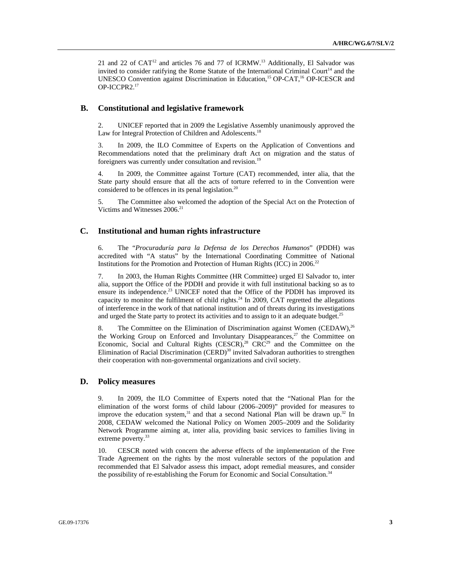21 and 22 of CAT<sup>12</sup> and articles 76 and 77 of ICRMW.<sup>13</sup> Additionally, El Salvador was invited to consider ratifying the Rome Statute of the International Criminal Court<sup>14</sup> and the UNESCO Convention against Discrimination in Education,<sup>15</sup> OP-CAT,<sup>16</sup> OP-ICESCR and OP-ICCPR2.17

#### **B. Constitutional and legislative framework**

2. UNICEF reported that in 2009 the Legislative Assembly unanimously approved the Law for Integral Protection of Children and Adolescents.<sup>18</sup>

3. In 2009, the ILO Committee of Experts on the Application of Conventions and Recommendations noted that the preliminary draft Act on migration and the status of foreigners was currently under consultation and revision.<sup>19</sup>

4. In 2009, the Committee against Torture (CAT) recommended, inter alia, that the State party should ensure that all the acts of torture referred to in the Convention were considered to be offences in its penal legislation.<sup>20</sup>

5. The Committee also welcomed the adoption of the Special Act on the Protection of Victims and Witnesses 2006.<sup>21</sup>

# **C. Institutional and human rights infrastructure**

6. The "*Procuraduría para la Defensa de los Derechos Humanos*" (PDDH) was accredited with "A status" by the International Coordinating Committee of National Institutions for the Promotion and Protection of Human Rights (ICC) in 2006.<sup>22</sup>

7. In 2003, the Human Rights Committee (HR Committee) urged El Salvador to, inter alia, support the Office of the PDDH and provide it with full institutional backing so as to ensure its independence.<sup>23</sup> UNICEF noted that the Office of the PDDH has improved its capacity to monitor the fulfilment of child rights.<sup>24</sup> In 2009, CAT regretted the allegations of interference in the work of that national institution and of threats during its investigations and urged the State party to protect its activities and to assign to it an adequate budget.<sup>25</sup>

8. The Committee on the Elimination of Discrimination against Women (CEDAW),<sup>26</sup> the Working Group on Enforced and Involuntary Disappearances,<sup>27</sup> the Committee on Economic, Social and Cultural Rights (CESCR),<sup>28</sup> CRC<sup>29</sup> and the Committee on the Elimination of Racial Discrimination (CERD)<sup>30</sup> invited Salvadoran authorities to strengthen their cooperation with non-governmental organizations and civil society.

### **D. Policy measures**

9. In 2009, the ILO Committee of Experts noted that the "National Plan for the elimination of the worst forms of child labour (2006–2009)" provided for measures to improve the education system, $31$  and that a second National Plan will be drawn up.<sup>32</sup> In 2008, CEDAW welcomed the National Policy on Women 2005–2009 and the Solidarity Network Programme aiming at, inter alia, providing basic services to families living in extreme poverty.<sup>33</sup>

10. CESCR noted with concern the adverse effects of the implementation of the Free Trade Agreement on the rights by the most vulnerable sectors of the population and recommended that El Salvador assess this impact, adopt remedial measures, and consider the possibility of re-establishing the Forum for Economic and Social Consultation.<sup>34</sup>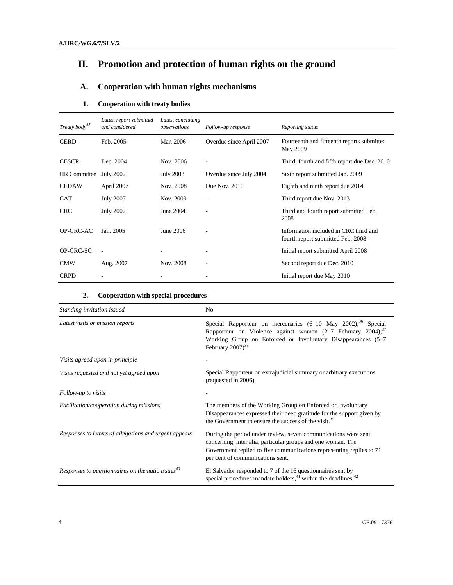# **II. Promotion and protection of human rights on the ground**

# **A. Cooperation with human rights mechanisms**

## **1. Cooperation with treaty bodies**

| Treaty body <sup>35</sup> | Latest report submitted<br>and considered | Latest concluding<br>observations | Follow-up response       | Reporting status                                                           |
|---------------------------|-------------------------------------------|-----------------------------------|--------------------------|----------------------------------------------------------------------------|
| <b>CERD</b>               | Feb. 2005                                 | Mar. 2006                         | Overdue since April 2007 | Fourteenth and fifteenth reports submitted<br>May 2009                     |
| <b>CESCR</b>              | Dec. 2004                                 | Nov. 2006                         | ٠                        | Third, fourth and fifth report due Dec. 2010                               |
| <b>HR</b> Committee       | <b>July 2002</b>                          | <b>July 2003</b>                  | Overdue since July 2004  | Sixth report submitted Jan. 2009                                           |
| <b>CEDAW</b>              | April 2007                                | Nov. 2008                         | Due Nov. $2010$          | Eighth and ninth report due 2014                                           |
| <b>CAT</b>                | <b>July 2007</b>                          | Nov. 2009                         |                          | Third report due Nov. 2013                                                 |
| <b>CRC</b>                | <b>July 2002</b>                          | June 2004                         |                          | Third and fourth report submitted Feb.<br>2008                             |
| OP-CRC-AC                 | Jan. 2005                                 | June 2006                         |                          | Information included in CRC third and<br>fourth report submitted Feb. 2008 |
| OP-CRC-SC                 |                                           |                                   |                          | Initial report submitted April 2008                                        |
| <b>CMW</b>                | Aug. 2007                                 | Nov. 2008                         |                          | Second report due Dec. 2010                                                |
| <b>CRPD</b>               |                                           |                                   |                          | Initial report due May 2010                                                |

# **2. Cooperation with special procedures**

| Standing invitation issued                             | N <sub>0</sub>                                                                                                                                                                                                                                          |  |  |
|--------------------------------------------------------|---------------------------------------------------------------------------------------------------------------------------------------------------------------------------------------------------------------------------------------------------------|--|--|
| Latest visits or mission reports                       | Special Rapporteur on mercenaries (6-10 May 2002); <sup>36</sup> Special<br>Rapporteur on Violence against women $(2-7)$ February 2004); <sup>37</sup><br>Working Group on Enforced or Involuntary Disappearances (5-7<br>February $2007$ <sup>38</sup> |  |  |
| Visits agreed upon in principle                        |                                                                                                                                                                                                                                                         |  |  |
| Visits requested and not yet agreed upon               | Special Rapporteur on extrajudicial summary or arbitrary executions<br>(requested in 2006)                                                                                                                                                              |  |  |
| Follow-up to visits                                    |                                                                                                                                                                                                                                                         |  |  |
| Facilitation/cooperation during missions               | The members of the Working Group on Enforced or Involuntary<br>Disappearances expressed their deep gratitude for the support given by<br>the Government to ensure the success of the visit. <sup>39</sup>                                               |  |  |
| Responses to letters of allegations and urgent appeals | During the period under review, seven communications were sent<br>concerning, inter alia, particular groups and one woman. The<br>Government replied to five communications representing replies to 71<br>per cent of communications sent.              |  |  |
| Responses to questionnaires on thematic issues $40$    | El Salvador responded to 7 of the 16 questionnaires sent by<br>special procedures mandate holders, $41$ within the deadlines. $42$                                                                                                                      |  |  |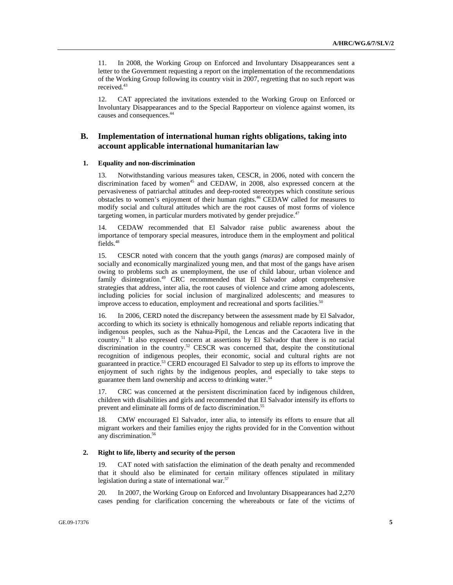11. In 2008, the Working Group on Enforced and Involuntary Disappearances sent a letter to the Government requesting a report on the implementation of the recommendations of the Working Group following its country visit in 2007, regretting that no such report was received.<sup>43</sup>

12. CAT appreciated the invitations extended to the Working Group on Enforced or Involuntary Disappearances and to the Special Rapporteur on violence against women, its causes and consequences.<sup>44</sup>

## **B. Implementation of international human rights obligations, taking into account applicable international humanitarian law**

#### **1. Equality and non-discrimination**

13. Notwithstanding various measures taken, CESCR, in 2006, noted with concern the discrimination faced by women<sup>45</sup> and CEDAW, in 2008, also expressed concern at the pervasiveness of patriarchal attitudes and deep-rooted stereotypes which constitute serious obstacles to women's enjoyment of their human rights.46 CEDAW called for measures to modify social and cultural attitudes which are the root causes of most forms of violence targeting women, in particular murders motivated by gender prejudice. $47$ 

14. CEDAW recommended that El Salvador raise public awareness about the importance of temporary special measures, introduce them in the employment and political fields.<sup>48</sup>

15. CESCR noted with concern that the youth gangs *(maras)* are composed mainly of socially and economically marginalized young men, and that most of the gangs have arisen owing to problems such as unemployment, the use of child labour, urban violence and family disintegration.<sup>49</sup> CRC recommended that El Salvador adopt comprehensive strategies that address, inter alia, the root causes of violence and crime among adolescents, including policies for social inclusion of marginalized adolescents; and measures to improve access to education, employment and recreational and sports facilities.<sup>50</sup>

16. In 2006, CERD noted the discrepancy between the assessment made by El Salvador, according to which its society is ethnically homogenous and reliable reports indicating that indigenous peoples, such as the Nahua-Pipil, the Lencas and the Cacaotera live in the country.51 It also expressed concern at assertions by El Salvador that there is no racial discrimination in the country.<sup>52</sup> CESCR was concerned that, despite the constitutional recognition of indigenous peoples, their economic, social and cultural rights are not guaranteed in practice.<sup>53</sup> CERD encouraged El Salvador to step up its efforts to improve the enjoyment of such rights by the indigenous peoples, and especially to take steps to guarantee them land ownership and access to drinking water.<sup>54</sup>

17. CRC was concerned at the persistent discrimination faced by indigenous children, children with disabilities and girls and recommended that El Salvador intensify its efforts to prevent and eliminate all forms of de facto discrimination.<sup>55</sup>

18. CMW encouraged El Salvador, inter alia, to intensify its efforts to ensure that all migrant workers and their families enjoy the rights provided for in the Convention without any discrimination.<sup>56</sup>

#### **2. Right to life, liberty and security of the person**

19. CAT noted with satisfaction the elimination of the death penalty and recommended that it should also be eliminated for certain military offences stipulated in military legislation during a state of international war. $57$ 

20. In 2007, the Working Group on Enforced and Involuntary Disappearances had 2,270 cases pending for clarification concerning the whereabouts or fate of the victims of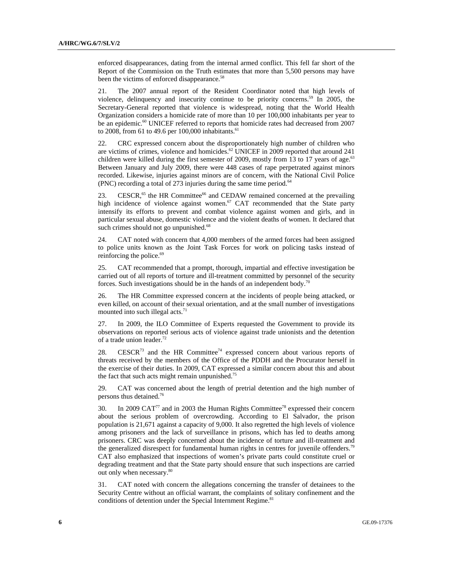enforced disappearances, dating from the internal armed conflict. This fell far short of the Report of the Commission on the Truth estimates that more than 5,500 persons may have been the victims of enforced disappearance.<sup>58</sup>

21. The 2007 annual report of the Resident Coordinator noted that high levels of violence, delinquency and insecurity continue to be priority concerns.<sup>59</sup> In 2005, the Secretary-General reported that violence is widespread, noting that the World Health Organization considers a homicide rate of more than 10 per 100,000 inhabitants per year to be an epidemic.<sup>60</sup> UNICEF referred to reports that homicide rates had decreased from 2007 to 2008, from 61 to 49.6 per 100,000 inhabitants.<sup>61</sup>

22. CRC expressed concern about the disproportionately high number of children who are victims of crimes, violence and homicides.<sup>62</sup> UNICEF in 2009 reported that around 241 children were killed during the first semester of 2009, mostly from 13 to 17 years of age.<sup>63</sup> Between January and July 2009, there were 448 cases of rape perpetrated against minors recorded. Likewise, injuries against minors are of concern, with the National Civil Police (PNC) recording a total of 273 injuries during the same time period.<sup>64</sup>

23. CESCR,<sup>65</sup> the HR Committee<sup>66</sup> and CEDAW remained concerned at the prevailing high incidence of violence against women.<sup>67</sup> CAT recommended that the State party intensify its efforts to prevent and combat violence against women and girls, and in particular sexual abuse, domestic violence and the violent deaths of women. It declared that such crimes should not go unpunished.<sup>68</sup>

24. CAT noted with concern that 4,000 members of the armed forces had been assigned to police units known as the Joint Task Forces for work on policing tasks instead of reinforcing the police.<sup>69</sup>

25. CAT recommended that a prompt, thorough, impartial and effective investigation be carried out of all reports of torture and ill-treatment committed by personnel of the security forces. Such investigations should be in the hands of an independent body.<sup>70</sup>

26. The HR Committee expressed concern at the incidents of people being attacked, or even killed, on account of their sexual orientation, and at the small number of investigations mounted into such illegal acts. $71$ 

27. In 2009, the ILO Committee of Experts requested the Government to provide its observations on reported serious acts of violence against trade unionists and the detention of a trade union leader.<sup>72</sup>

28. CESCR<sup>73</sup> and the HR Committee<sup>74</sup> expressed concern about various reports of threats received by the members of the Office of the PDDH and the Procurator herself in the exercise of their duties. In 2009, CAT expressed a similar concern about this and about the fact that such acts might remain unpunished.<sup>75</sup>

29. CAT was concerned about the length of pretrial detention and the high number of persons thus detained.<sup>76</sup>

30. In 2009 CAT<sup>77</sup> and in 2003 the Human Rights Committee<sup>78</sup> expressed their concern about the serious problem of overcrowding. According to El Salvador, the prison population is 21,671 against a capacity of 9,000. It also regretted the high levels of violence among prisoners and the lack of surveillance in prisons, which has led to deaths among prisoners. CRC was deeply concerned about the incidence of torture and ill-treatment and the generalized disrespect for fundamental human rights in centres for juvenile offenders.<sup>79</sup> CAT also emphasized that inspections of women's private parts could constitute cruel or degrading treatment and that the State party should ensure that such inspections are carried out only when necessary.<sup>80</sup>

31. CAT noted with concern the allegations concerning the transfer of detainees to the Security Centre without an official warrant, the complaints of solitary confinement and the conditions of detention under the Special Internment Regime.<sup>81</sup>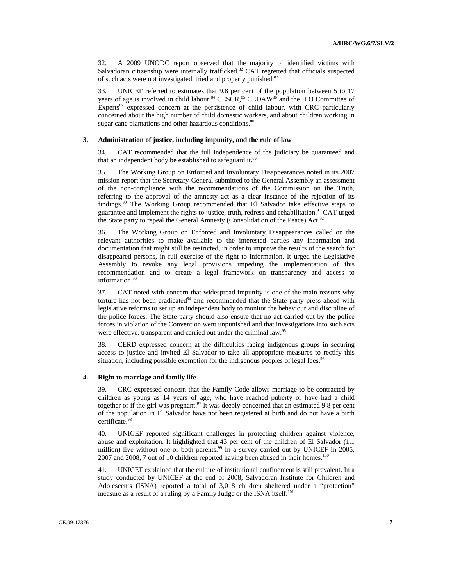32. A 2009 UNODC report observed that the majority of identified victims with Salvadoran citizenship were internally trafficked. $82$  CAT regretted that officials suspected of such acts were not investigated, tried and properly punished.<sup>83</sup>

33. UNICEF referred to estimates that 9.8 per cent of the population between 5 to 17 years of age is involved in child labour.<sup>84</sup> CESCR,<sup>85</sup> CEDAW<sup>86</sup> and the ILO Committee of Experts $8^7$  expressed concern at the persistence of child labour, with CRC particularly concerned about the high number of child domestic workers, and about children working in sugar cane plantations and other hazardous conditions.<sup>88</sup>

#### **3. Administration of justice, including impunity, and the rule of law**

34. CAT recommended that the full independence of the judiciary be guaranteed and that an independent body be established to safeguard it.<sup>89</sup>

35. The Working Group on Enforced and Involuntary Disappearances noted in its 2007 mission report that the Secretary-General submitted to the General Assembly an assessment of the non-compliance with the recommendations of the Commission on the Truth, referring to the approval of the amnesty act as a clear instance of the rejection of its findings. $90$  The Working Group recommended that El Salvador take effective steps to guarantee and implement the rights to justice, truth, redress and rehabilitation.<sup>91</sup> CAT urged the State party to repeal the General Amnesty (Consolidation of the Peace) Act.<sup>92</sup>

36. The Working Group on Enforced and Involuntary Disappearances called on the relevant authorities to make available to the interested parties any information and documentation that might still be restricted, in order to improve the results of the search for disappeared persons, in full exercise of the right to information. It urged the Legislative Assembly to revoke any legal provisions impeding the implementation of this recommendation and to create a legal framework on transparency and access to information.<sup>93</sup>

37. CAT noted with concern that widespread impunity is one of the main reasons why torture has not been eradicated $94$  and recommended that the State party press ahead with legislative reforms to set up an independent body to monitor the behaviour and discipline of the police forces. The State party should also ensure that no act carried out by the police forces in violation of the Convention went unpunished and that investigations into such acts were effective, transparent and carried out under the criminal law.<sup>95</sup>

38. CERD expressed concern at the difficulties facing indigenous groups in securing access to justice and invited El Salvador to take all appropriate measures to rectify this situation, including possible exemption for the indigenous peoples of legal fees.<sup>96</sup>

#### **4. Right to marriage and family life**

39. CRC expressed concern that the Family Code allows marriage to be contracted by children as young as 14 years of age, who have reached puberty or have had a child together or if the girl was pregnant.<sup>97</sup> It was deeply concerned that an estimated 9.8 per cent of the population in El Salvador have not been registered at birth and do not have a birth certificate.<sup>98</sup>

40. UNICEF reported significant challenges in protecting children against violence, abuse and exploitation. It highlighted that 43 per cent of the children of El Salvador (1.1 million) live without one or both parents.<sup>99</sup> In a survey carried out by UNICEF in 2005, 2007 and 2008, 7 out of 10 children reported having been abused in their homes.<sup>100</sup>

41. UNICEF explained that the culture of institutional confinement is still prevalent. In a study conducted by UNICEF at the end of 2008, Salvadoran Institute for Children and Adolescents (ISNA) reported a total of 3,018 children sheltered under a "protection" measure as a result of a ruling by a Family Judge or the ISNA itself.<sup>101</sup>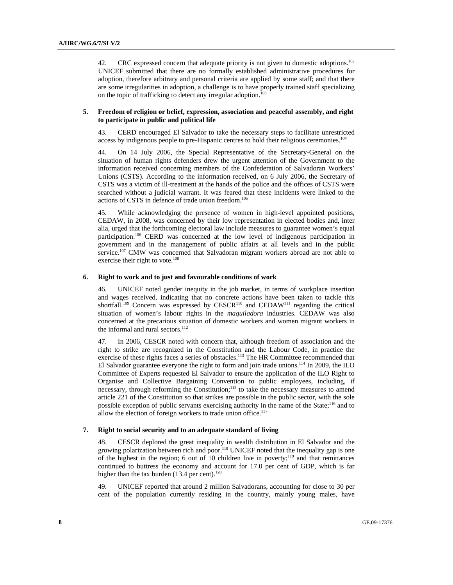42. CRC expressed concern that adequate priority is not given to domestic adoptions.<sup>102</sup> UNICEF submitted that there are no formally established administrative procedures for adoption, therefore arbitrary and personal criteria are applied by some staff; and that there are some irregularities in adoption, a challenge is to have properly trained staff specializing on the topic of trafficking to detect any irregular adoption.<sup>103</sup>

#### **5. Freedom of religion or belief, expression, association and peaceful assembly, and right to participate in public and political life**

43. CERD encouraged El Salvador to take the necessary steps to facilitate unrestricted access by indigenous people to pre-Hispanic centres to hold their religious ceremonies.<sup>104</sup>

44. On 14 July 2006, the Special Representative of the Secretary-General on the situation of human rights defenders drew the urgent attention of the Government to the information received concerning members of the Confederation of Salvadoran Workers' Unions (CSTS). According to the information received, on 6 July 2006, the Secretary of CSTS was a victim of ill-treatment at the hands of the police and the offices of CSTS were searched without a judicial warrant. It was feared that these incidents were linked to the actions of CSTS in defence of trade union freedom.<sup>105</sup>

45. While acknowledging the presence of women in high-level appointed positions, CEDAW, in 2008, was concerned by their low representation in elected bodies and, inter alia, urged that the forthcoming electoral law include measures to guarantee women's equal participation.106 CERD was concerned at the low level of indigenous participation in government and in the management of public affairs at all levels and in the public service.<sup>107</sup> CMW was concerned that Salvadoran migrant workers abroad are not able to exercise their right to vote.<sup>108</sup>

#### **6. Right to work and to just and favourable conditions of work**

46. UNICEF noted gender inequity in the job market, in terms of workplace insertion and wages received, indicating that no concrete actions have been taken to tackle this shortfall.<sup>109</sup> Concern was expressed by CESCR<sup>110</sup> and CEDAW<sup>111</sup> regarding the critical situation of women's labour rights in the *maquiladora* industries. CEDAW was also concerned at the precarious situation of domestic workers and women migrant workers in the informal and rural sectors.<sup>112</sup>

47. In 2006, CESCR noted with concern that, although freedom of association and the right to strike are recognized in the Constitution and the Labour Code, in practice the exercise of these rights faces a series of obstacles.<sup>113</sup> The HR Committee recommended that El Salvador guarantee everyone the right to form and join trade unions.<sup>114</sup> In 2009, the ILO Committee of Experts requested El Salvador to ensure the application of the ILO Right to Organise and Collective Bargaining Convention to public employees, including, if necessary, through reforming the Constitution;<sup>115</sup> to take the necessary measures to amend article 221 of the Constitution so that strikes are possible in the public sector, with the sole possible exception of public servants exercising authority in the name of the State;<sup>116</sup> and to allow the election of foreign workers to trade union office.<sup>117</sup>

#### **7. Right to social security and to an adequate standard of living**

48. CESCR deplored the great inequality in wealth distribution in El Salvador and the growing polarization between rich and poor.<sup>118</sup> UNICEF noted that the inequality gap is one of the highest in the region; 6 out of 10 children live in poverty;<sup>119</sup> and that remittances continued to buttress the economy and account for 17.0 per cent of GDP, which is far higher than the tax burden  $(13.4 \text{ per cent})$ .<sup>120</sup>

49. UNICEF reported that around 2 million Salvadorans, accounting for close to 30 per cent of the population currently residing in the country, mainly young males, have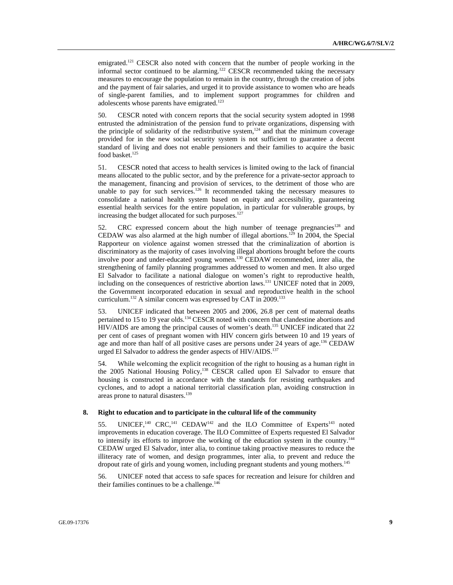emigrated.<sup>121</sup> CESCR also noted with concern that the number of people working in the informal sector continued to be alarming.<sup>122</sup> CESCR recommended taking the necessary measures to encourage the population to remain in the country, through the creation of jobs and the payment of fair salaries, and urged it to provide assistance to women who are heads of single-parent families, and to implement support programmes for children and adolescents whose parents have emigrated.<sup>123</sup>

50. CESCR noted with concern reports that the social security system adopted in 1998 entrusted the administration of the pension fund to private organizations, dispensing with the principle of solidarity of the redistributive system, $124$  and that the minimum coverage provided for in the new social security system is not sufficient to guarantee a decent standard of living and does not enable pensioners and their families to acquire the basic food basket.<sup>125</sup>

51. CESCR noted that access to health services is limited owing to the lack of financial means allocated to the public sector, and by the preference for a private-sector approach to the management, financing and provision of services, to the detriment of those who are unable to pay for such services.<sup>126</sup> It recommended taking the necessary measures to consolidate a national health system based on equity and accessibility, guaranteeing essential health services for the entire population, in particular for vulnerable groups, by increasing the budget allocated for such purposes.<sup>127</sup>

52. CRC expressed concern about the high number of teenage pregnancies<sup>128</sup> and CEDAW was also alarmed at the high number of illegal abortions.<sup>129</sup> In 2004, the Special Rapporteur on violence against women stressed that the criminalization of abortion is discriminatory as the majority of cases involving illegal abortions brought before the courts involve poor and under-educated young women.<sup>130</sup> CEDAW recommended, inter alia, the strengthening of family planning programmes addressed to women and men. It also urged El Salvador to facilitate a national dialogue on women's right to reproductive health, including on the consequences of restrictive abortion laws.<sup>131</sup> UNICEF noted that in 2009, the Government incorporated education in sexual and reproductive health in the school curriculum.<sup>132</sup> A similar concern was expressed by CAT in 2009.<sup>133</sup>

53. UNICEF indicated that between 2005 and 2006, 26.8 per cent of maternal deaths pertained to 15 to 19 year olds.<sup>134</sup> CESCR noted with concern that clandestine abortions and HIV/AIDS are among the principal causes of women's death.<sup>135</sup> UNICEF indicated that 22 per cent of cases of pregnant women with HIV concern girls between 10 and 19 years of age and more than half of all positive cases are persons under 24 years of age.<sup>136</sup> CEDAW urged El Salvador to address the gender aspects of HIV/AIDS.<sup>137</sup>

54. While welcoming the explicit recognition of the right to housing as a human right in the 2005 National Housing Policy,<sup>138</sup> CESCR called upon El Salvador to ensure that housing is constructed in accordance with the standards for resisting earthquakes and cyclones, and to adopt a national territorial classification plan, avoiding construction in areas prone to natural disasters.<sup>139</sup>

#### **8. Right to education and to participate in the cultural life of the community**

55. UNICEF,<sup>140</sup> CRC,<sup>141</sup> CEDAW<sup>142</sup> and the ILO Committee of Experts<sup>143</sup> noted improvements in education coverage. The ILO Committee of Experts requested El Salvador to intensify its efforts to improve the working of the education system in the country.<sup>144</sup> CEDAW urged El Salvador, inter alia, to continue taking proactive measures to reduce the illiteracy rate of women, and design programmes, inter alia, to prevent and reduce the dropout rate of girls and young women, including pregnant students and young mothers.<sup>145</sup>

56. UNICEF noted that access to safe spaces for recreation and leisure for children and their families continues to be a challenge. $146$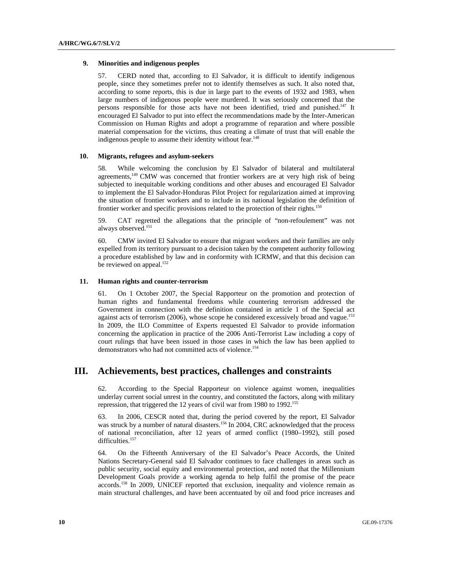#### **9. Minorities and indigenous peoples**

57. CERD noted that, according to El Salvador, it is difficult to identify indigenous people, since they sometimes prefer not to identify themselves as such. It also noted that, according to some reports, this is due in large part to the events of 1932 and 1983, when large numbers of indigenous people were murdered. It was seriously concerned that the persons responsible for those acts have not been identified, tried and punished.<sup>147</sup> It encouraged El Salvador to put into effect the recommendations made by the Inter-American Commission on Human Rights and adopt a programme of reparation and where possible material compensation for the victims, thus creating a climate of trust that will enable the indigenous people to assume their identity without fear.<sup>148</sup>

#### **10. Migrants, refugees and asylum-seekers**

58. While welcoming the conclusion by El Salvador of bilateral and multilateral agreements,<sup>149</sup> CMW was concerned that frontier workers are at very high risk of being subjected to inequitable working conditions and other abuses and encouraged El Salvador to implement the El Salvador-Honduras Pilot Project for regularization aimed at improving the situation of frontier workers and to include in its national legislation the definition of frontier worker and specific provisions related to the protection of their rights.<sup>150</sup>

59. CAT regretted the allegations that the principle of "non-refoulement" was not always observed.<sup>151</sup>

60. CMW invited El Salvador to ensure that migrant workers and their families are only expelled from its territory pursuant to a decision taken by the competent authority following a procedure established by law and in conformity with ICRMW, and that this decision can be reviewed on appeal.<sup>152</sup>

#### **11. Human rights and counter-terrorism**

61. On 1 October 2007, the Special Rapporteur on the promotion and protection of human rights and fundamental freedoms while countering terrorism addressed the Government in connection with the definition contained in article 1 of the Special act against acts of terrorism  $(2006)$ , whose scope he considered excessively broad and vague.<sup>153</sup> In 2009, the ILO Committee of Experts requested El Salvador to provide information concerning the application in practice of the 2006 Anti-Terrorist Law including a copy of court rulings that have been issued in those cases in which the law has been applied to demonstrators who had not committed acts of violence.<sup>154</sup>

# **III. Achievements, best practices, challenges and constraints**

62. According to the Special Rapporteur on violence against women, inequalities underlay current social unrest in the country, and constituted the factors, along with military repression, that triggered the 12 years of civil war from 1980 to 1992.155

63. In 2006, CESCR noted that, during the period covered by the report, El Salvador was struck by a number of natural disasters.<sup>156</sup> In 2004, CRC acknowledged that the process of national reconciliation, after 12 years of armed conflict (1980–1992), still posed difficulties.<sup>157</sup>

64. On the Fifteenth Anniversary of the El Salvador's Peace Accords, the United Nations Secretary-General said El Salvador continues to face challenges in areas such as public security, social equity and environmental protection, and noted that the Millennium Development Goals provide a working agenda to help fulfil the promise of the peace accords.158 In 2009, UNICEF reported that exclusion, inequality and violence remain as main structural challenges, and have been accentuated by oil and food price increases and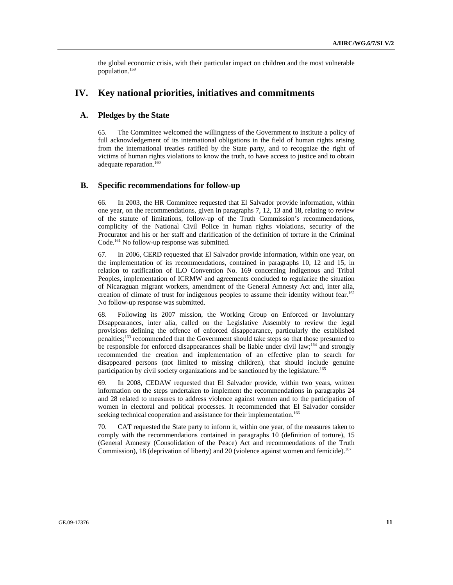the global economic crisis, with their particular impact on children and the most vulnerable population.159

# **IV. Key national priorities, initiatives and commitments**

## **A. Pledges by the State**

65. The Committee welcomed the willingness of the Government to institute a policy of full acknowledgement of its international obligations in the field of human rights arising from the international treaties ratified by the State party, and to recognize the right of victims of human rights violations to know the truth, to have access to justice and to obtain adequate reparation.<sup>160</sup>

## **B. Specific recommendations for follow-up**

66. In 2003, the HR Committee requested that El Salvador provide information, within one year, on the recommendations, given in paragraphs 7, 12, 13 and 18, relating to review of the statute of limitations, follow-up of the Truth Commission's recommendations, complicity of the National Civil Police in human rights violations, security of the Procurator and his or her staff and clarification of the definition of torture in the Criminal Code.<sup>161</sup> No follow-up response was submitted.

67. In 2006, CERD requested that El Salvador provide information, within one year, on the implementation of its recommendations, contained in paragraphs 10, 12 and 15, in relation to ratification of ILO Convention No. 169 concerning Indigenous and Tribal Peoples, implementation of ICRMW and agreements concluded to regularize the situation of Nicaraguan migrant workers, amendment of the General Amnesty Act and, inter alia, creation of climate of trust for indigenous peoples to assume their identity without fear.<sup>162</sup> No follow-up response was submitted.

68. Following its 2007 mission, the Working Group on Enforced or Involuntary Disappearances, inter alia, called on the Legislative Assembly to review the legal provisions defining the offence of enforced disappearance, particularly the established penalties;<sup>163</sup> recommended that the Government should take steps so that those presumed to be responsible for enforced disappearances shall be liable under civil law;<sup>164</sup> and strongly recommended the creation and implementation of an effective plan to search for disappeared persons (not limited to missing children), that should include genuine participation by civil society organizations and be sanctioned by the legislature.<sup>165</sup>

69. In 2008, CEDAW requested that El Salvador provide, within two years, written information on the steps undertaken to implement the recommendations in paragraphs 24 and 28 related to measures to address violence against women and to the participation of women in electoral and political processes. It recommended that El Salvador consider seeking technical cooperation and assistance for their implementation.<sup>166</sup>

70. CAT requested the State party to inform it, within one year, of the measures taken to comply with the recommendations contained in paragraphs 10 (definition of torture), 15 (General Amnesty (Consolidation of the Peace) Act and recommendations of the Truth Commission), 18 (deprivation of liberty) and 20 (violence against women and femicide).<sup>167</sup>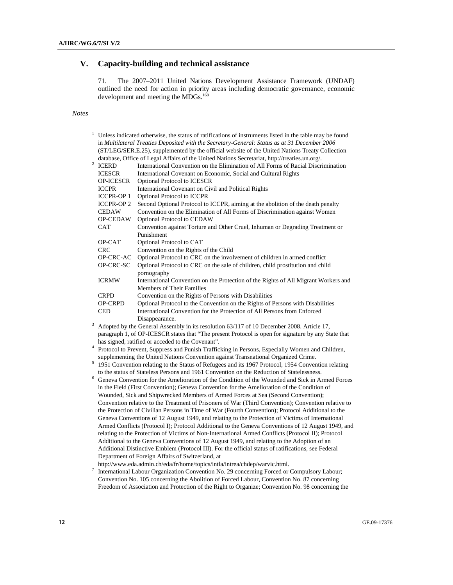# **V. Capacity-building and technical assistance**

71. The 2007–2011 United Nations Development Assistance Framework (UNDAF) outlined the need for action in priority areas including democratic governance, economic development and meeting the MDGs.<sup>168</sup>

## *Notes*

|                |                | Unless indicated otherwise, the status of ratifications of instruments listed in the table may be found<br>in Multilateral Treaties Deposited with the Secretary-General: Status as at 31 December 2006<br>(ST/LEG/SER.E.25), supplemented by the official website of the United Nations Treaty Collection |
|----------------|----------------|------------------------------------------------------------------------------------------------------------------------------------------------------------------------------------------------------------------------------------------------------------------------------------------------------------|
|                |                | database, Office of Legal Affairs of the United Nations Secretariat, http://treaties.un.org/.                                                                                                                                                                                                              |
| $\overline{c}$ | <b>ICERD</b>   | International Convention on the Elimination of All Forms of Racial Discrimination                                                                                                                                                                                                                          |
|                | <b>ICESCR</b>  | International Covenant on Economic, Social and Cultural Rights                                                                                                                                                                                                                                             |
|                | OP-ICESCR      | Optional Protocol to ICESCR                                                                                                                                                                                                                                                                                |
|                | <b>ICCPR</b>   | International Covenant on Civil and Political Rights                                                                                                                                                                                                                                                       |
|                | ICCPR-OP 1     | <b>Optional Protocol to ICCPR</b>                                                                                                                                                                                                                                                                          |
|                | ICCPR-OP 2     | Second Optional Protocol to ICCPR, aiming at the abolition of the death penalty                                                                                                                                                                                                                            |
|                | <b>CEDAW</b>   | Convention on the Elimination of All Forms of Discrimination against Women                                                                                                                                                                                                                                 |
|                | OP-CEDAW       | Optional Protocol to CEDAW                                                                                                                                                                                                                                                                                 |
|                | <b>CAT</b>     | Convention against Torture and Other Cruel, Inhuman or Degrading Treatment or<br>Punishment                                                                                                                                                                                                                |
|                | OP-CAT         | Optional Protocol to CAT                                                                                                                                                                                                                                                                                   |
|                | <b>CRC</b>     | Convention on the Rights of the Child                                                                                                                                                                                                                                                                      |
|                | OP-CRC-AC      | Optional Protocol to CRC on the involvement of children in armed conflict                                                                                                                                                                                                                                  |
|                | OP-CRC-SC      | Optional Protocol to CRC on the sale of children, child prostitution and child<br>pornography                                                                                                                                                                                                              |
|                | <b>ICRMW</b>   | International Convention on the Protection of the Rights of All Migrant Workers and                                                                                                                                                                                                                        |
|                |                | Members of Their Families                                                                                                                                                                                                                                                                                  |
|                | <b>CRPD</b>    | Convention on the Rights of Persons with Disabilities                                                                                                                                                                                                                                                      |
|                | <b>OP-CRPD</b> | Optional Protocol to the Convention on the Rights of Persons with Disabilities                                                                                                                                                                                                                             |
|                | <b>CED</b>     | International Convention for the Protection of All Persons from Enforced                                                                                                                                                                                                                                   |
|                |                | Disappearance.                                                                                                                                                                                                                                                                                             |
| 3              |                | Adopted by the General Assembly in its resolution 63/117 of 10 December 2008. Article 17,                                                                                                                                                                                                                  |
|                |                | paragraph 1, of OP-ICESCR states that "The present Protocol is open for signature by any State that                                                                                                                                                                                                        |
|                |                | has signed, ratified or acceded to the Covenant".                                                                                                                                                                                                                                                          |
| $\overline{4}$ |                | Protocol to Prevent, Suppress and Punish Trafficking in Persons, Especially Women and Children,                                                                                                                                                                                                            |
|                |                | supplementing the United Nations Convention against Transnational Organized Crime.                                                                                                                                                                                                                         |
| 5              |                | 1951 Convention relating to the Status of Refugees and its 1967 Protocol, 1954 Convention relating                                                                                                                                                                                                         |
|                |                | to the status of Stateless Persons and 1961 Convention on the Reduction of Statelessness.                                                                                                                                                                                                                  |
| 6              |                | Geneva Convention for the Amelioration of the Condition of the Wounded and Sick in Armed Forces                                                                                                                                                                                                            |
|                |                | in the Field (First Convention); Geneva Convention for the Amelioration of the Condition of                                                                                                                                                                                                                |
|                |                | Wounded, Sick and Shipwrecked Members of Armed Forces at Sea (Second Convention);                                                                                                                                                                                                                          |
|                |                | Convention relative to the Treatment of Prisoners of War (Third Convention); Convention relative to                                                                                                                                                                                                        |
|                |                | the Protection of Civilian Persons in Time of War (Fourth Convention); Protocol Additional to the                                                                                                                                                                                                          |
|                |                | Geneva Conventions of 12 August 1949, and relating to the Protection of Victims of International                                                                                                                                                                                                           |
|                |                | Armed Conflicts (Protocol I); Protocol Additional to the Geneva Conventions of 12 August 1949, and                                                                                                                                                                                                         |
|                |                | relating to the Protection of Victims of Non-International Armed Conflicts (Protocol II); Protocol                                                                                                                                                                                                         |
|                |                | Additional to the Geneva Conventions of 12 August 1949, and relating to the Adoption of an                                                                                                                                                                                                                 |
|                |                | Additional Distinctive Emblem (Protocol III). For the official status of ratifications, see Federal                                                                                                                                                                                                        |
|                |                | Department of Foreign Affairs of Switzerland, at                                                                                                                                                                                                                                                           |
|                |                | http://www.eda.admin.ch/eda/fr/home/topics/intla/intrea/chdep/warvic.html.                                                                                                                                                                                                                                 |
|                |                | International Labour Organization Convention No. 29 concerning Forced or Compulsory Labour;                                                                                                                                                                                                                |
|                |                | Convention No. 105 concerning the Abolition of Forced Labour, Convention No. 87 concerning                                                                                                                                                                                                                 |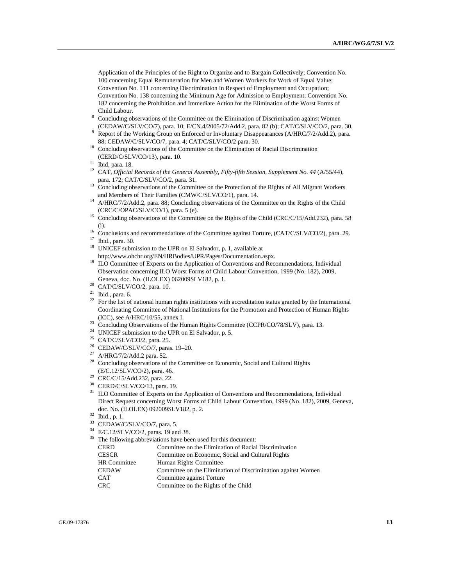Application of the Principles of the Right to Organize and to Bargain Collectively; Convention No. 100 concerning Equal Remuneration for Men and Women Workers for Work of Equal Value; Convention No. 111 concerning Discrimination in Respect of Employment and Occupation; Convention No. 138 concerning the Minimum Age for Admission to Employment; Convention No. 182 concerning the Prohibition and Immediate Action for the Elimination of the Worst Forms of Child Labour.

- Concluding observations of the Committee on the Elimination of Discrimination against Women (CEDAW/C/SLV/CO/7), para. 10; E/CN.4/2005/72/Add.2, para. 82 (b); CAT/C/SLV/CO/2, para. 30. 9
- Report of the Working Group on Enforced or Involuntary Disappearances (A/HRC/7/2/Add.2), para.
- 88; CEDAW/C/SLV/CO/7, para. 4; CAT/C/SLV/CO/2 para. 30.<br><sup>10</sup> Concluding observations of the Committee on the Elimination of Racial Discrimination (CERD/C/SLV/CO/13), para. 10.  $11$  Ibid, para. 18.
- 
- <sup>12</sup> CAT, *Official Records of the General Assembly, Fifty-fifth Session, Supplement No. 44 (A/55/44),*
- para. 172; CAT/C/SLV/CO/2, para. 31.<br><sup>13</sup> Concluding observations of the Committee on the Protection of the Rights of All Migrant Workers and Members of Their Families (CMW/C/SLV/CO/1), para. 14.
- <sup>14</sup> A/HRC/7/2/Add.2, para. 88; Concluding observations of the Committee on the Rights of the Child
- (CRC/C/OPAC/SLV/CO/1), para. 5 (e).<br><sup>15</sup> Concluding observations of the Committee on the Rights of the Child (CRC/C/15/Add.232), para. 58
- (i). 16 Conclusions and recommendations of the Committee against Torture,  $(CAT/C/SLV/CO/2)$ , para. 29. 17 Ibid., para. 30.
- 
- <sup>18</sup> UNICEF submission to the UPR on El Salvador, p. 1, available at
- http://www.ohchr.org/EN/HRBodies/UPR/Pages/Documentation.aspx. 19 ILO Committee of Experts on the Application of Conventions and Recommendations, Individual Observation concerning ILO Worst Forms of Child Labour Convention, 1999 (No. 182), 2009,
- Geneva, doc. No. (ILOLEX) 062009SLV182, p. 1. 20 CAT/C/SLV/CO/2, para. 10.
- 
- $21$  Ibid., para. 6.
- <sup>22</sup> For the list of national human rights institutions with accreditation status granted by the International Coordinating Committee of National Institutions for the Promotion and Protection of Human Rights (ICC), see A/HRC/10/55, annex I.<br><sup>23</sup> Concluding Observations of the Human Rights Committee (CCPR/CO/78/SLV), para. 13.
- 
- <sup>24</sup> UNICEF submission to the UPR on El Salvador, p. 5.<br><sup>25</sup> CAT/C/SI V/CO/2, para 25
- CAT/C/SLV/CO/2, para. 25.
- 26 CEDAW/C/SLV/CO/7, paras. 19–20.
- 27 A/HRC/7/2/Add.2 para. 52.
- <sup>28</sup> Concluding observations of the Committee on Economic, Social and Cultural Rights (E/C.12/SLV/CO/2), para. 46. 29 CRC/C/15/Add.232, para. 22.
- 
- 30 CERD/C/SLV/CO/13, para. 19.
- <sup>31</sup> ILO Committee of Experts on the Application of Conventions and Recommendations, Individual Direct Request concerning Worst Forms of Child Labour Convention, 1999 (No. 182), 2009, Geneva, doc. No. (ILOLEX) 092009SLV182, p. 2. 32 Ibid., p. 1.
- 
- 
- $^{33}$  CEDAW/C/SLV/CO/7, para. 5.<br> $^{34}$  E/C.12/SLV/CO/2, paras. 19 and 38.
- $35$  The following abbreviations have been used for this document:
	- CERD Committee on the Elimination of Racial Discrimination CESCR Committee on Economic, Social and Cultural Rights HR Committee Human Rights Committee CEDAW Committee on the Elimination of Discrimination against Women CAT Committee against Torture CRC Committee on the Rights of the Child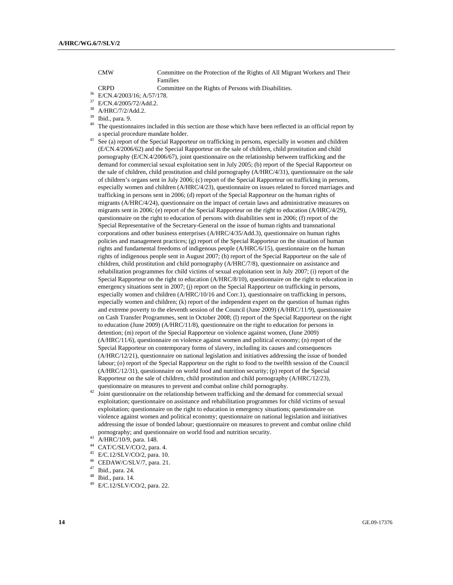CMW Committee on the Protection of the Rights of All Migrant Workers and Their Families

- CRPD Committee on the Rights of Persons with Disabilities.<br><sup>36</sup> E/CN.4/2003/16; A/57/178.<br><sup>37</sup> E/CN.4/2005/72/A44.2
- 
- $^{37}$  E/CN.4/2005/72/Add.2.<br> $^{38}$  A/HDC/7/2/Add.2.
- $^{38}$  A/HRC/7/2/Add.2.
- $\frac{39}{40}$  Ibid., para. 9.
- The questionnaires included in this section are those which have been reflected in an official report by
- a special procedure mandate holder.<br><sup>41</sup> See (a) report of the Special Rapporteur on trafficking in persons, especially in women and children (E/CN.4/2006/62) and the Special Rapporteur on the sale of children, child prostitution and child pornography (E/CN.4/2006/67), joint questionnaire on the relationship between trafficking and the demand for commercial sexual exploitation sent in July 2005; (b) report of the Special Rapporteur on the sale of children, child prostitution and child pornography (A/HRC/4/31), questionnaire on the sale of children's organs sent in July 2006; (c) report of the Special Rapporteur on trafficking in persons, especially women and children (A/HRC/4/23), questionnaire on issues related to forced marriages and trafficking in persons sent in 2006; (d) report of the Special Rapporteur on the human rights of migrants (A/HRC/4/24), questionnaire on the impact of certain laws and administrative measures on migrants sent in 2006; (e) report of the Special Rapporteur on the right to education (A/HRC/4/29), questionnaire on the right to education of persons with disabilities sent in 2006; (f) report of the Special Representative of the Secretary-General on the issue of human rights and transnational corporations and other business enterprises (A/HRC/4/35/Add.3), questionnaire on human rights policies and management practices; (g) report of the Special Rapporteur on the situation of human rights and fundamental freedoms of indigenous people (A/HRC/6/15), questionnaire on the human rights of indigenous people sent in August 2007; (h) report of the Special Rapporteur on the sale of children, child prostitution and child pornography (A/HRC/7/8), questionnaire on assistance and rehabilitation programmes for child victims of sexual exploitation sent in July 2007; (i) report of the Special Rapporteur on the right to education (A/HRC/8/10), questionnaire on the right to education in emergency situations sent in 2007; (j) report on the Special Rapporteur on trafficking in persons, especially women and children (A/HRC/10/16 and Corr.1), questionnaire on trafficking in persons, especially women and children; (k) report of the independent expert on the question of human rights and extreme poverty to the eleventh session of the Council (June 2009) (A/HRC/11/9), questionnaire on Cash Transfer Programmes, sent in October 2008; (l) report of the Special Rapporteur on the right to education (June 2009) (A/HRC/11/8), questionnaire on the right to education for persons in detention; (m) report of the Special Rapporteur on violence against women, (June 2009) (A/HRC/11/6), questionnaire on violence against women and political economy; (n) report of the Special Rapporteur on contemporary forms of slavery, including its causes and consequences (A/HRC/12/21), questionnaire on national legislation and initiatives addressing the issue of bonded labour; (o) report of the Special Rapporteur on the right to food to the twelfth session of the Council (A/HRC/12/31), questionnaire on world food and nutrition security; (p) report of the Special Rapporteur on the sale of children, child prostitution and child pornography (A/HRC/12/23), questionnaire on measures to prevent and combat online child pornography.<br><sup>42</sup> Joint questionnaire on the relationship between trafficking and the demand for commercial sexual
- exploitation; questionnaire on assistance and rehabilitation programmes for child victims of sexual exploitation; questionnaire on the right to education in emergency situations; questionnaire on violence against women and political economy; questionnaire on national legislation and initiatives addressing the issue of bonded labour; questionnaire on measures to prevent and combat online child pornography; and questionnaire on world food and nutrition security. 43 A/HRC/10/9, para. 148.
- 
- $^{44}$  CAT/C/SLV/CO/2, para. 4.
- $^{45}$  E/C.12/SLV/CO/2, para. 10.
- $^{46}$  CEDAW/C/SLV/7, para. 21.
- $^{47}$  Ibid., para. 24.
- <sup>48</sup> Ibid., para. 14.<br><sup>49</sup> E/C 12/SI V/C
- E/C.12/SLV/CO/2, para. 22.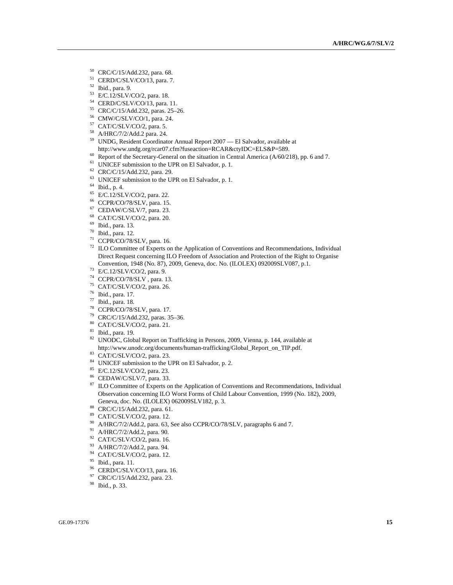- 
- <sup>50</sup> CRC/C/15/Add.232, para. 68.<br><sup>51</sup> CERD/C/SLV/CO/13, para. 7.
- 
- 
- 
- 
- 
- 
- 
- <sup>52</sup> Ibid., para. 9.<br>
<sup>53</sup> E/C.12/SLV/CO/2, para. 18.<br>
<sup>54</sup> CERD/C/SLV/CO/13, para. 11.<br>
<sup>55</sup> CRC/C/15/Add.232, paras. 25–26.<br>
<sup>56</sup> CMW/C/SLV/CO/1, para. 24.<br>
<sup>57</sup> CAT/C/SLV/CO/2, para. 5.<br>
<sup>58</sup> A/HRC/7/2/Add.2 para. 24.<br>
- 
- 
- 
- 
- 
- 
- 
- 
- 
- 
- 
- 
- http://www.undg.org/rcar07.cfm?fuseaction=RCAR&ctyIDC=ELS&P=589.<br>
60 Report of the Secretary-General on the situation in Central America (A/60/218), pp. 6 and 7.<br>
<sup>61</sup> UNICEF submission to the UPR on El Salvador, p. 1.<br>
<sup></sup> Direct Request concerning ILO Freedom of Association and Protection of the Right to Organise<br>Convention, 1948 (No. 87), 2009, Geneva, doc. No. (ILOLEX) 092009SLV087, p.1. Convention, 1948 (No. 87), 2009, Geneva, doc. No. (ILOLEX) 092009SLV087, p.1.<br>
<sup>73</sup> E/C.12/SLV/CO/2, para. 9.<br>
<sup>74</sup> CCPR/CO/78/SLV , para. 13.<br>
<sup>75</sup> CAT/C/SLV/CO/2, para. 26.<br>
<sup>76</sup> Ibid., para. 17.<br>
<sup>77</sup> Ibid., para. 18.<br>
	-
	-
	-
	-
	-
	-
	-
	-
	-
	-
	- http://www.unodc.org/documents/human-trafficking/Global\_Report\_on\_TIP.pdf.<br>
	<sup>83</sup> CAT/C/SLV/CO/2, para. 23.<br>
	<sup>84</sup> UNICEF submission to the UPR on El Salvador, p. 2.<br>
	<sup>85</sup> E/C.12/SLV/CO/2, para. 23.<br>
	<sup>86</sup> CEDAW/C/SLV/7, para
	-
	-
	-
	-
	- Observation concerning ILO Worst Forms of Child Labour Convention, 1999 (No. 182), 2009,
	-
	-
- Geneva, doc. No. (ILOLEX) 062009SLV182, p. 3.<br>
<sup>88</sup> CRC/C/15/Add.232, para. 61.<br>
<sup>89</sup> CAT/C/SLV/CO/2, para. 12.<br>
<sup>90</sup> A/HRC/7/2/Add.2, para. 63, See also CCPR/CO/78/SLV, paragraphs 6 and 7.<br>
<sup>91</sup> A/HRC/7/2/Add.2, para. 90.
	-
	-
	-
	-
	-
	-
	-
	-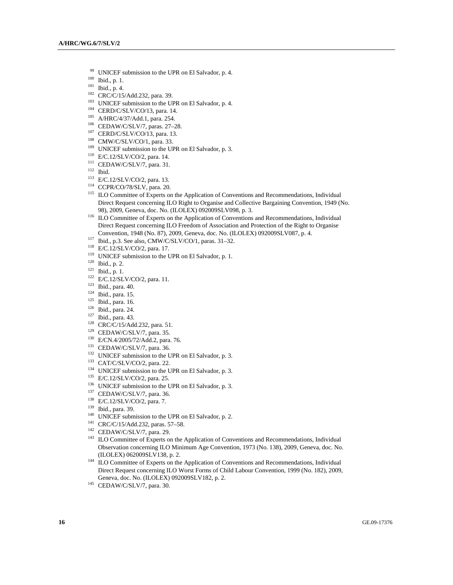- 
- 
- 
- 
- 
- 
- 
- 
- 
- 
- 
- 
- 
- 
- 
- 
- <sup>99</sup> UNICEF submission to the UPR on El Salvador, p. 4,<br>
101 Ibid., p. 1.<br>
101 Ibid., p. 4.<br>
102 CRC/C/15/Add.232, para. 39.<br>
103 UNICEF submission to the UPR on El Salvador, p. 4,<br>
104 CERD/C/SLV/CO/13, para. 254,<br>
105 A Direct Request concerning ILO Right to Organise and Collective Bargaining Convention, 1949 (No.
	- 98), 2009, Geneva, doc. No. (ILOLEX) 092009SLV098, p. 3.<br><sup>116</sup> ILO Committee of Experts on the Application of Conventions and Recommendations, Individual Direct Request concerning ILO Freedom of Association and Protection of the Right to Organise
	-
	-
	-
	-
	-
	-
	-
	-
	-
	-
	-
	-
	-
	-
	-
	-
	-
	-
	-
	-
	-
	-
	-
	-
	-
	-
- Convention, 1948 (No. 87), 2009, Genev, doc. No. (II.OLEX) 092009SLV087, p. 4.<br>
117 Ibid., p.3. See also, CMW/C/SLV/CO/1, paras. 31-32.<br>
118 E/C.12/SLV/CO/2, para. 17.<br>
119 UNICEF submission to the UPR on El Salvador, p. Observation concerning ILO Minimum Age Convention, 1973 (No. 138), 2009, Geneva, doc. No.
	- (ILOLEX) 062009SLV138, p. 2.  $144$  ILO Committee of Experts on the Application of Conventions and Recommendations, Individual Direct Request concerning ILO Worst Forms of Child Labour Convention, 1999 (No. 182), 2009, Geneva, doc. No. (ILOLEX) 092009SLV182, p. 2. 145 CEDAW/C/SLV/7, para. 30.
	-